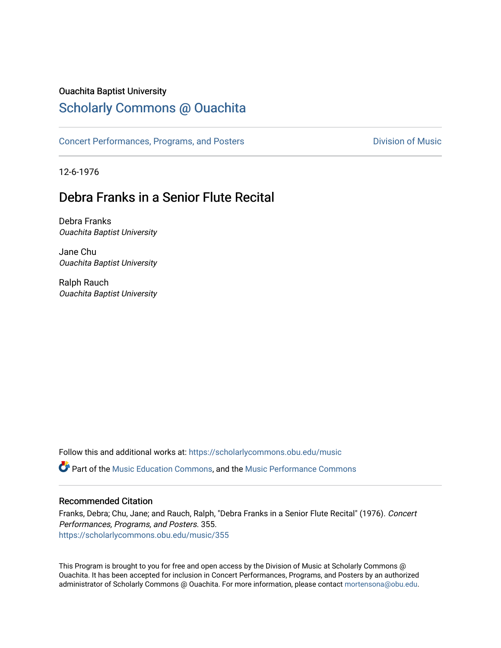#### Ouachita Baptist University

### [Scholarly Commons @ Ouachita](https://scholarlycommons.obu.edu/)

[Concert Performances, Programs, and Posters](https://scholarlycommons.obu.edu/music) **Division of Music** Division of Music

12-6-1976

## Debra Franks in a Senior Flute Recital

Debra Franks Ouachita Baptist University

Jane Chu Ouachita Baptist University

Ralph Rauch Ouachita Baptist University

Follow this and additional works at: [https://scholarlycommons.obu.edu/music](https://scholarlycommons.obu.edu/music?utm_source=scholarlycommons.obu.edu%2Fmusic%2F355&utm_medium=PDF&utm_campaign=PDFCoverPages) 

**C** Part of the [Music Education Commons,](http://network.bepress.com/hgg/discipline/1246?utm_source=scholarlycommons.obu.edu%2Fmusic%2F355&utm_medium=PDF&utm_campaign=PDFCoverPages) and the Music Performance Commons

#### Recommended Citation

Franks, Debra; Chu, Jane; and Rauch, Ralph, "Debra Franks in a Senior Flute Recital" (1976). Concert Performances, Programs, and Posters. 355. [https://scholarlycommons.obu.edu/music/355](https://scholarlycommons.obu.edu/music/355?utm_source=scholarlycommons.obu.edu%2Fmusic%2F355&utm_medium=PDF&utm_campaign=PDFCoverPages) 

This Program is brought to you for free and open access by the Division of Music at Scholarly Commons @ Ouachita. It has been accepted for inclusion in Concert Performances, Programs, and Posters by an authorized administrator of Scholarly Commons @ Ouachita. For more information, please contact [mortensona@obu.edu](mailto:mortensona@obu.edu).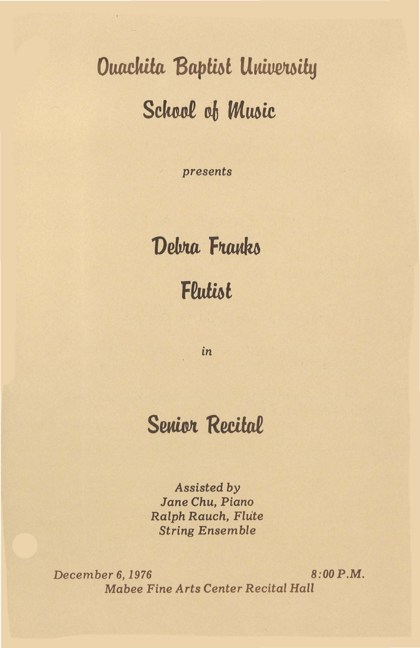# **Ouachita Baptist University** School of Music

presents

# Debra Franks Flutist

in

# **Senior Recital**

Assisted by Jane Chu, Piano Ralph Rauch, Flute **String Ensemble** 

 $8:00 P.M.$ December 6, 1976 Mabee Fine Arts Center Recital Hall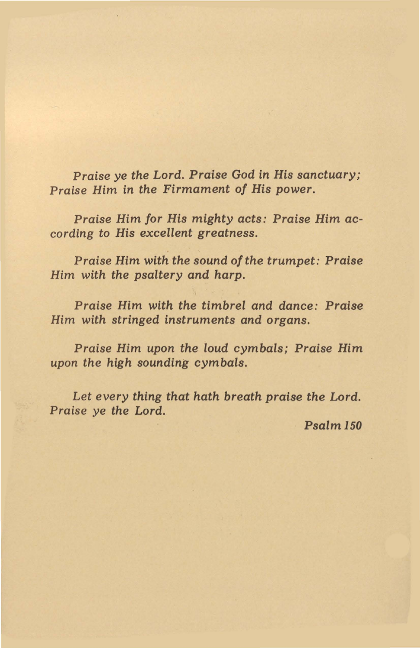Praise ye *the Lord.* Praise God *in* His *sanctuary;*  Praise *Him in the Firmament of* His *power.* 

Praise Him *for* His *mighty acts:* Praise *Him according to* His *excellent* greatness.

Praise Him *with the sound of the trumpet:* Praise Him *with the psaltery and harp.* 

Praise Him *with the timbrel and dance:* Praise Him *with stringed instruments and organs.* 

Praise *Him upon the loud cymbals;* Praise *Him upon the high sounding cymbals.* 

Let *every thing that hath breath* praise *the Lord.*  Praise ye *the* Lord.

*Psalml50*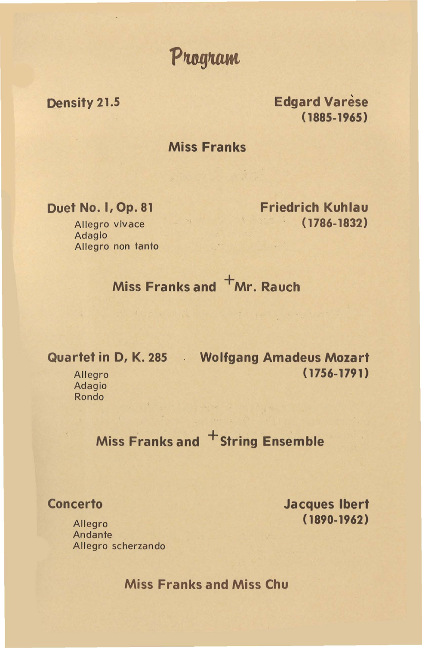Program

#### Density 21.5

**Edgard Varèse** (1885-1965)

#### Miss Franks

Duet No. I, Op. 81

Allegro vivace Adagio Allegro non tanto Friedrich Kuhlau ( 1786-1832)

## Miss Franks and  $+mr$ . Rauch

Quartet in 0, K. 285 Wolfgang Amadeus Mozart ( 1756-1791)

**Allegro** Adagio Rondo

Miss Franks and <sup>+</sup>String Ensemble

**Concerto** 

Jacques lbert ( 1890-1962)

Allegro Andante Allegro scherzando

Miss Franks and Miss Chu